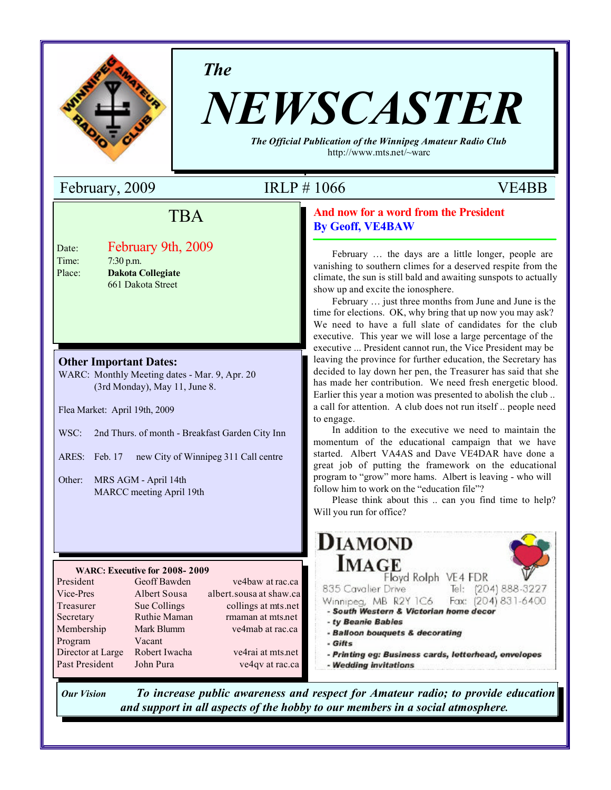

*The*

# *NEWSCASTER*

*The Official Publication of the Winnipeg Amateur Radio Club* http://www.mts.net/~warc

## February, 2009 IRLP # 1066 VE4BB

## **Field Trip** TBA

| Date:  |  |
|--------|--|
| Time:  |  |
| Place: |  |

Eshruary 0th 2000  $\lim_{n \to \infty}$ Place: **Dakota Collegiate Engineering and Information Technology** Date: February 9th, 2009 7:30 p.m.

#### **Other Important Dates:**

WARC: Monthly Meeting dates - Mar. 9, Apr. 20 (3rd Monday), May 11, June 8.

Flea Market: April 19th, 2009

- WSC: 2nd Thurs. of month Breakfast Garden City Inn
- ARES: Feb. 17 new City of Winnipeg 311 Call centre

Other: MRS AGM - April 14th MARCC meeting April 19th

#### **WARC: Executive for 2008- 2009**

| President         | Geoff Bawden  | ve4baw at rac.ca        |
|-------------------|---------------|-------------------------|
| Vice-Pres         | Albert Sousa  | albert.sousa at shaw.ca |
| Treasurer         | Sue Collings  | collings at mts.net     |
| Secretary         | Ruthie Maman  | rmaman at mts.net       |
| Membership        | Mark Blumm    | ve4mab at rac.ca        |
| Program           | Vacant        |                         |
| Director at Large | Robert Iwacha | ve4rai at mts.net       |
| Past President    | John Pura     | ve4qv at rac.ca         |

## **And now for a word from the President**

**By Geoff, VE4BAW**

February … the days are a little longer, people are vanishing to southern climes for a deserved respite from the climate, the sun is still bald and awaiting sunspots to actually show up and excite the ionosphere.

February … just three months from June and June is the time for elections. OK, why bring that up now you may ask? We need to have a full slate of candidates for the club executive. This year we will lose a large percentage of the executive ... President cannot run, the Vice President may be leaving the province for further education, the Secretary has decided to lay down her pen, the Treasurer has said that she has made her contribution. We need fresh energetic blood. Earlier this year a motion was presented to abolish the club .. a call for attention. A club does not run itself .. people need to engage.

In addition to the executive we need to maintain the momentum of the educational campaign that we have started. Albert VA4AS and Dave VE4DAR have done a great job of putting the framework on the educational program to "grow" more hams. Albert is leaving - who will follow him to work on the "education file"?

Please think about this .. can you find time to help? Will you run for office?



*Our Vision To increase public awareness and respect for Amateur radio; to provide education and support in all aspects of the hobby to our members in a social atmosphere.*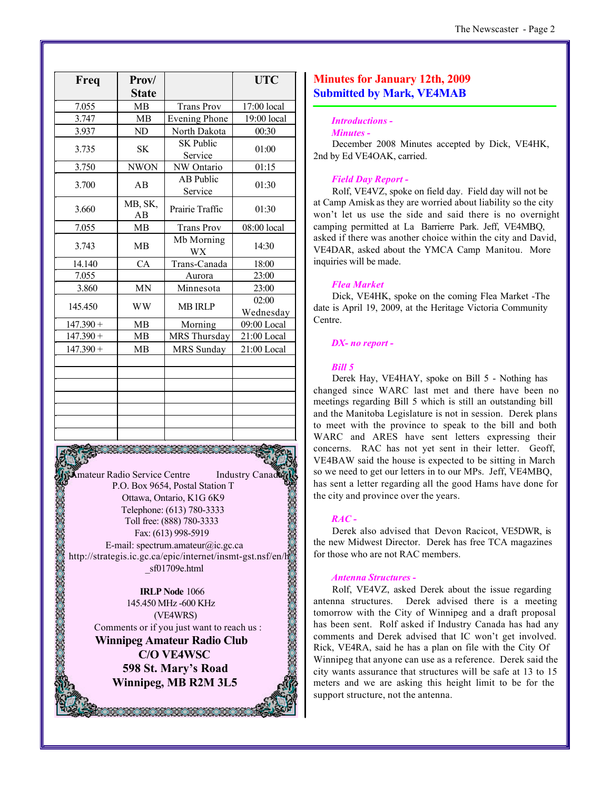| Freq        | Prov/         |                             | <b>UTC</b>         |
|-------------|---------------|-----------------------------|--------------------|
|             | <b>State</b>  |                             |                    |
| 7.055       | <b>MB</b>     | <b>Trans Prov</b>           | 17:00 local        |
| 3.747       | <b>MB</b>     | <b>Evening Phone</b>        | 19:00 local        |
| 3.937       | ND            | North Dakota                | 00:30              |
| 3.735       | <b>SK</b>     | <b>SK Public</b><br>Service | 01:00              |
| 3.750       | <b>NWON</b>   | NW Ontario                  | 01:15              |
| 3.700       | AB            | <b>AB Public</b><br>Service | 01:30              |
| 3.660       | MB, SK,<br>AB | Prairie Traffic             | 01:30              |
| 7.055       | <b>MB</b>     | <b>Trans Prov</b>           | 08:00 local        |
| 3.743       | MB            | Mb Morning<br><b>WX</b>     | 14:30              |
| 14.140      | CA            | Trans-Canada                | 18:00              |
| 7.055       |               | Aurora                      | 23:00              |
| 3.860       | <b>MN</b>     | Minnesota                   | 23:00              |
| 145.450     | <b>WW</b>     | <b>MB IRLP</b>              | 02:00<br>Wednesday |
| $147.390 +$ | <b>MB</b>     | Morning                     | 09:00 Local        |
| $147.390 +$ | <b>MB</b>     | MRS Thursday                | 21:00 Local        |
| $147.390 +$ | <b>MB</b>     | <b>MRS</b> Sunday           | 21:00 Local        |
|             |               |                             |                    |
|             |               |                             |                    |
|             |               |                             |                    |
|             |               |                             |                    |

**Amateur Radio Service Centre** Industry Canad P.O. Box 9654, Postal Station T Ottawa, Ontario, K1G 6K9 Telephone: (613) 780-3333 Toll free: (888) 780-3333 Fax: (613) 998-5919 E-mail: spectrum.amateur@ic.gc.ca http://strategis.ic.gc.ca/epic/internet/insmt-gst.nsf/en/h \_sf01709e.html

26.36.36.36

**IRLP Node** 1066 145.450 MHz -600 KHz (VE4WRS) Comments or if you just want to reach us :

**Winnipeg Amateur Radio Club C/O VE4WSC 598 St. Mary's Road Winnipeg, MB R2M 3L5**

1981881881881881881881

### **Minutes for January 12th, 2009 Submitted by Mark, VE4MAB**

#### *Introductions -*

#### *Minutes -*

December 2008 Minutes accepted by Dick, VE4HK, 2nd by Ed VE4OAK, carried.

#### *Field Day Report -*

Rolf, VE4VZ, spoke on field day. Field day will not be at Camp Amisk as they are worried about liability so the city won't let us use the side and said there is no overnight camping permitted at La Barrierre Park. Jeff, VE4MBQ, asked if there was another choice within the city and David, VE4DAR, asked about the YMCA Camp Manitou. More inquiries will be made.

#### *Flea Market*

Dick, VE4HK, spoke on the coming Flea Market -The date is April 19, 2009, at the Heritage Victoria Community Centre.

#### *DX- no report -*

#### *Bill 5*

Derek Hay, VE4HAY, spoke on Bill 5 - Nothing has changed since WARC last met and there have been no meetings regarding Bill 5 which is still an outstanding bill and the Manitoba Legislature is not in session. Derek plans to meet with the province to speak to the bill and both WARC and ARES have sent letters expressing their concerns. RAC has not yet sent in their letter. Geoff, VE4BAW said the house is expected to be sitting in March so we need to get our letters in to our MPs. Jeff, VE4MBQ, has sent a letter regarding all the good Hams have done for the city and province over the years.

#### *RAC -*

Derek also advised that Devon Racicot, VE5DWR, is the new Midwest Director. Derek has free TCA magazines for those who are not RAC members.

#### *Antenna Structures -*

Rolf, VE4VZ, asked Derek about the issue regarding antenna structures. Derek advised there is a meeting tomorrow with the City of Winnipeg and a draft proposal has been sent. Rolf asked if Industry Canada has had any comments and Derek advised that IC won't get involved. Rick, VE4RA, said he has a plan on file with the City Of Winnipeg that anyone can use as a reference. Derek said the city wants assurance that structures will be safe at 13 to 15 meters and we are asking this height limit to be for the support structure, not the antenna.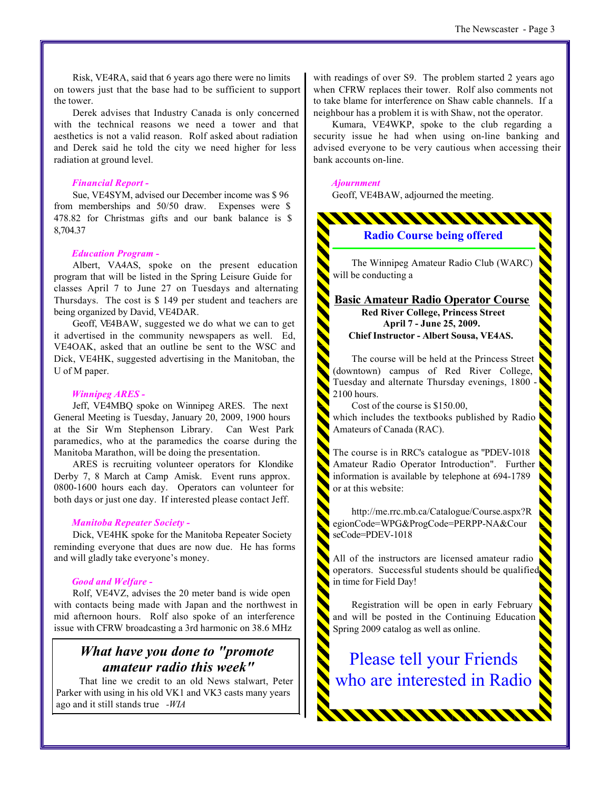Risk, VE4RA, said that 6 years ago there were no limits on towers just that the base had to be sufficient to support the tower.

Derek advises that Industry Canada is only concerned with the technical reasons we need a tower and that aesthetics is not a valid reason. Rolf asked about radiation and Derek said he told the city we need higher for less radiation at ground level.

#### *Financial Report -*

Sue, VE4SYM, advised our December income was \$ 96 from memberships and 50/50 draw. Expenses were \$ 478.82 for Christmas gifts and our bank balance is \$ 8,704.37

#### *Education Program -*

Albert, VA4AS, spoke on the present education program that will be listed in the Spring Leisure Guide for classes April 7 to June 27 on Tuesdays and alternating Thursdays. The cost is \$ 149 per student and teachers are being organized by David, VE4DAR.

Geoff, VE4BAW, suggested we do what we can to get it advertised in the community newspapers as well. Ed, VE4OAK, asked that an outline be sent to the WSC and Dick, VE4HK, suggested advertising in the Manitoban, the U of M paper.

#### *Winnipeg ARES -*

Jeff, VE4MBQ spoke on Winnipeg ARES. The next General Meeting is Tuesday, January 20, 2009, 1900 hours at the Sir Wm Stephenson Library. Can West Park paramedics, who at the paramedics the coarse during the Manitoba Marathon, will be doing the presentation.

ARES is recruiting volunteer operators for Klondike Derby 7, 8 March at Camp Amisk. Event runs approx. 0800-1600 hours each day. Operators can volunteer for both days or just one day. If interested please contact Jeff.

#### *Manitoba Repeater Society -*

Dick, VE4HK spoke for the Manitoba Repeater Society reminding everyone that dues are now due. He has forms and will gladly take everyone's money.

#### *Good and Welfare -*

Rolf, VE4VZ, advises the 20 meter band is wide open with contacts being made with Japan and the northwest in mid afternoon hours. Rolf also spoke of an interference issue with CFRW broadcasting a 3rd harmonic on 38.6 MHz

## *What have you done to "promote amateur radio this week"*

 That line we credit to an old News stalwart, Peter Parker with using in his old VK1 and VK3 casts many years ago and it still stands true *-WIA*

with readings of over S9. The problem started 2 years ago when CFRW replaces their tower. Rolf also comments not to take blame for interference on Shaw cable channels. If a neighbour has a problem it is with Shaw, not the operator.

Kumara, VE4WKP, spoke to the club regarding a security issue he had when using on-line banking and advised everyone to be very cautious when accessing their bank accounts on-line.

#### *Ajournment*

Geoff, VE4BAW, adjourned the meeting.



Amateur Radio Operator Introduction". Further information is available by telephone at 694-1789 or at this website:

http://me.rrc.mb.ca/Catalogue/Course.aspx?R egionCode=WPG&ProgCode=PERPP-NA&Cour seCode=PDEV-1018

All of the instructors are licensed amateur radio operators. Successful students should be qualified in time for Field Day!

Registration will be open in early February and will be posted in the Continuing Education Spring 2009 catalog as well as online.

Please tell your Friends who are interested in Radio

11111111111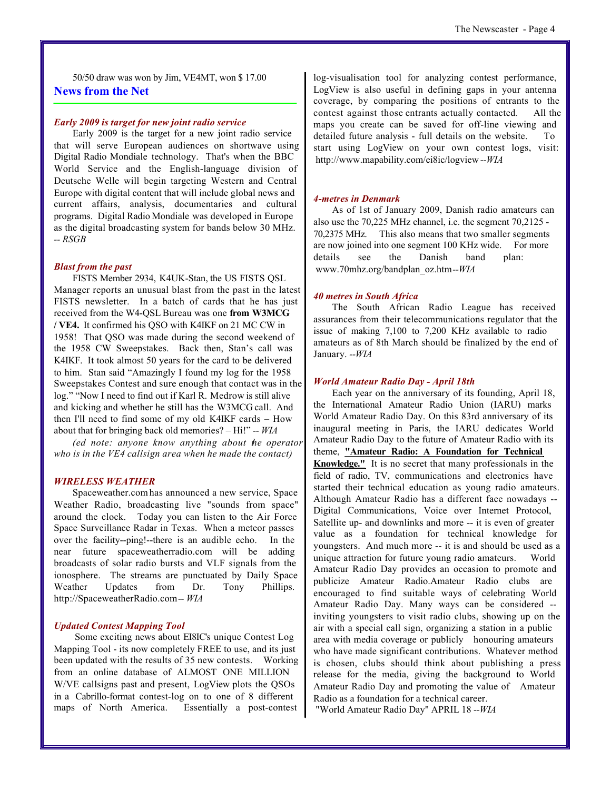50/50 draw was won by Jim, VE4MT, won \$ 17.00 **News from the Net**

#### *Early 2009 is target for new joint radio service*

Early 2009 is the target for a new joint radio service that will serve European audiences on shortwave using Digital Radio Mondiale technology. That's when the BBC World Service and the English-language division of Deutsche Welle will begin targeting Western and Central Europe with digital content that will include global news and current affairs, analysis, documentaries and cultural programs. Digital Radio Mondiale was developed in Europe as the digital broadcasting system for bands below 30 MHz. *-- RSGB*

#### *Blast from the past*

FISTS Member 2934, K4UK-Stan, the US FISTS QSL Manager reports an unusual blast from the past in the latest FISTS newsletter. In a batch of cards that he has just received from the W4-QSL Bureau was one **from W3MCG / VE4.** It confirmed his QSO with K4IKF on 21 MC CW in 1958! That QSO was made during the second weekend of the 1958 CW Sweepstakes. Back then, Stan's call was K4IKF. It took almost 50 years for the card to be delivered to him. Stan said "Amazingly I found my log for the 1958 Sweepstakes Contest and sure enough that contact was in the log." "Now I need to find out if Karl R. Medrow is still alive and kicking and whether he still has the W3MCG call. And then I'll need to find some of my old K4IKF cards – How about that for bringing back old memories? – Hi!" *-- WIA*

*(ed note: anyone know anything about the operator who is in the VE4 callsign area when he made the contact)*

#### *WIRELESS WEATHER*

Spaceweather.com has announced a new service, Space Weather Radio, broadcasting live "sounds from space" around the clock. Today you can listen to the Air Force Space Surveillance Radar in Texas. When a meteor passes over the facility--ping!--there is an audible echo. In the near future spaceweatherradio.com will be adding broadcasts of solar radio bursts and VLF signals from the ionosphere. The streams are punctuated by Daily Space Weather Updates from Dr. Tony Phillips. http://SpaceweatherRadio.com*-- WIA*

#### *Updated Contest Mapping Tool*

Some exciting news about EI8IC's unique Contest Log Mapping Tool - its now completely FREE to use, and its just been updated with the results of 35 new contests. Working from an online database of ALMOST ONE MILLION W/VE callsigns past and present, LogView plots the QSOs in a Cabrillo-format contest-log on to one of 8 different maps of North America. Essentially a post-contest

log-visualisation tool for analyzing contest performance, LogView is also useful in defining gaps in your antenna coverage, by comparing the positions of entrants to the contest against those entrants actually contacted. All the maps you create can be saved for off-line viewing and detailed future analysis - full details on the website. To start using LogView on your own contest logs, visit: http://www.mapability.com/ei8ic/logview *--WIA*

#### *4-metres in Denmark*

As of 1st of January 2009, Danish radio amateurs can also use the 70,225 MHz channel, i.e. the segment 70,2125 - 70,2375 MHz. This also means that two smaller segments are now joined into one segment 100 KHz wide. For more details see the Danish band plan: www.70mhz.org/bandplan\_oz.htm*--WIA*

#### *40 metres in South Africa*

The South African Radio League has received assurances from their telecommunications regulator that the issue of making 7,100 to 7,200 KHz available to radio amateurs as of 8th March should be finalized by the end of January. *--WIA*

#### *World Amateur Radio Day - April 18th*

Each year on the anniversary of its founding, April 18, the International Amateur Radio Union (IARU) marks World Amateur Radio Day. On this 83rd anniversary of its inaugural meeting in Paris, the IARU dedicates World Amateur Radio Day to the future of Amateur Radio with its theme, **"Amateur Radio: A Foundation for Technical Knowledge."** It is no secret that many professionals in the field of radio, TV, communications and electronics have started their technical education as young radio amateurs. Although Amateur Radio has a different face nowadays -- Digital Communications, Voice over Internet Protocol, Satellite up- and downlinks and more -- it is even of greater value as a foundation for technical knowledge for youngsters. And much more -- it is and should be used as a unique attraction for future young radio amateurs. World Amateur Radio Day provides an occasion to promote and publicize Amateur Radio.Amateur Radio clubs are encouraged to find suitable ways of celebrating World Amateur Radio Day. Many ways can be considered - inviting youngsters to visit radio clubs, showing up on the air with a special call sign, organizing a station in a public area with media coverage or publicly honouring amateurs who have made significant contributions. Whatever method is chosen, clubs should think about publishing a press release for the media, giving the background to World Amateur Radio Day and promoting the value of Amateur Radio as a foundation for a technical career.

"World Amateur Radio Day" APRIL 18 *--WIA*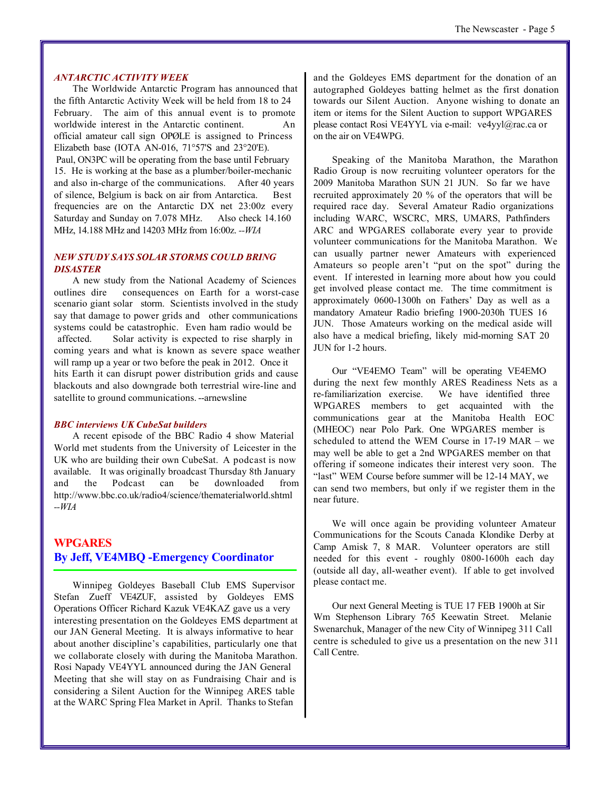#### *ANTARCTIC ACTIVITY WEEK*

The Worldwide Antarctic Program has announced that the fifth Antarctic Activity Week will be held from 18 to 24 February. The aim of this annual event is to promote worldwide interest in the Antarctic continent. An official amateur call sign OPØLE is assigned to Princess Elizabeth base (IOTA AN-016, 71°57'S and 23°20'E).

Paul, ON3PC will be operating from the base until February 15. He is working at the base as a plumber/boiler-mechanic and also in-charge of the communications. After 40 years of silence, Belgium is back on air from Antarctica. Best frequencies are on the Antarctic DX net 23:00z every Saturday and Sunday on 7.078 MHz. Also check 14.160 MHz, 14.188 MHz and 14203 MHz from 16:00z. *--WIA*

#### *NEW STUDY SAYS SOLAR STORMS COULD BRING DISASTER*

A new study from the National Academy of Sciences outlines dire consequences on Earth for a worst-case scenario giant solar storm. Scientists involved in the study say that damage to power grids and other communications systems could be catastrophic. Even ham radio would be affected. Solar activity is expected to rise sharply in coming years and what is known as severe space weather will ramp up a year or two before the peak in 2012. Once it hits Earth it can disrupt power distribution grids and cause blackouts and also downgrade both terrestrial wire-line and satellite to ground communications. --arnewsline

#### *BBC interviews UK CubeSat builders*

A recent episode of the BBC Radio 4 show Material World met students from the University of Leicester in the UK who are building their own CubeSat. A podcast is now available. It was originally broadcast Thursday 8th January and the Podcast can be downloaded from http://www.bbc.co.uk/radio4/science/thematerialworld.shtml *--WIA*

### **WPGARES By Jeff, VE4MBQ -Emergency Coordinator**

Winnipeg Goldeyes Baseball Club EMS Supervisor Stefan Zueff VE4ZUF, assisted by Goldeyes EMS Operations Officer Richard Kazuk VE4KAZ gave us a very interesting presentation on the Goldeyes EMS department at our JAN General Meeting. It is always informative to hear about another discipline's capabilities, particularly one that we collaborate closely with during the Manitoba Marathon. Rosi Napady VE4YYL announced during the JAN General Meeting that she will stay on as Fundraising Chair and is considering a Silent Auction for the Winnipeg ARES table at the WARC Spring Flea Market in April. Thanks to Stefan

and the Goldeyes EMS department for the donation of an autographed Goldeyes batting helmet as the first donation towards our Silent Auction. Anyone wishing to donate an item or items for the Silent Auction to support WPGARES please contact Rosi VE4YYL via e-mail: ve4yyl@rac.ca or on the air on VE4WPG.

Speaking of the Manitoba Marathon, the Marathon Radio Group is now recruiting volunteer operators for the 2009 Manitoba Marathon SUN 21 JUN. So far we have recruited approximately 20 % of the operators that will be required race day. Several Amateur Radio organizations including WARC, WSCRC, MRS, UMARS, Pathfinders ARC and WPGARES collaborate every year to provide volunteer communications for the Manitoba Marathon. We can usually partner newer Amateurs with experienced Amateurs so people aren't "put on the spot" during the event. If interested in learning more about how you could get involved please contact me. The time commitment is approximately 0600-1300h on Fathers' Day as well as a mandatory Amateur Radio briefing 1900-2030h TUES 16 JUN. Those Amateurs working on the medical aside will also have a medical briefing, likely mid-morning SAT 20 JUN for 1-2 hours.

Our "VE4EMO Team" will be operating VE4EMO during the next few monthly ARES Readiness Nets as a re-familiarization exercise. We have identified three WPGARES members to get acquainted with the communications gear at the Manitoba Health EOC (MHEOC) near Polo Park. One WPGARES member is scheduled to attend the WEM Course in 17-19 MAR – we may well be able to get a 2nd WPGARES member on that offering if someone indicates their interest very soon. The "last" WEM Course before summer will be 12-14 MAY, we can send two members, but only if we register them in the near future.

We will once again be providing volunteer Amateur Communications for the Scouts Canada Klondike Derby at Camp Amisk 7, 8 MAR. Volunteer operators are still needed for this event - roughly 0800-1600h each day (outside all day, all-weather event). If able to get involved please contact me.

Our next General Meeting is TUE 17 FEB 1900h at Sir Wm Stephenson Library 765 Keewatin Street. Melanie Swenarchuk, Manager of the new City of Winnipeg 311 Call centre is scheduled to give us a presentation on the new 311 Call Centre.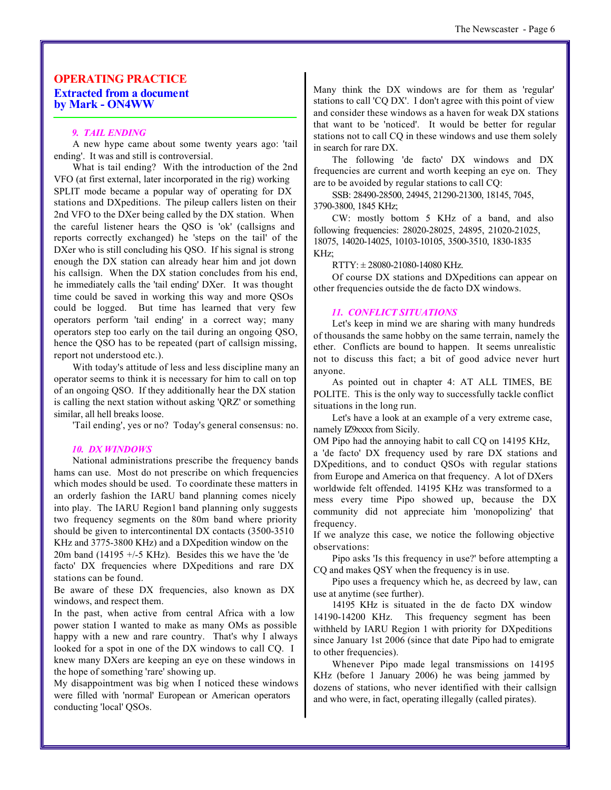#### **OPERATING PRACTICE Extracted from a document by Mark - ON4WW**

#### *9. TAIL ENDING*

A new hype came about some twenty years ago: 'tail ending'. It was and still is controversial.

What is tail ending? With the introduction of the 2nd VFO (at first external, later incorporated in the rig) working SPLIT mode became a popular way of operating for DX stations and DXpeditions. The pileup callers listen on their 2nd VFO to the DXer being called by the DX station. When the careful listener hears the QSO is 'ok' (callsigns and reports correctly exchanged) he 'steps on the tail' of the DXer who is still concluding his QSO. If his signal is strong enough the DX station can already hear him and jot down his callsign. When the DX station concludes from his end, he immediately calls the 'tail ending' DXer. It was thought time could be saved in working this way and more QSOs could be logged. But time has learned that very few operators perform 'tail ending' in a correct way; many operators step too early on the tail during an ongoing QSO, hence the QSO has to be repeated (part of callsign missing, report not understood etc.).

With today's attitude of less and less discipline many an operator seems to think it is necessary for him to call on top of an ongoing QSO. If they additionally hear the DX station is calling the next station without asking 'QRZ' or something similar, all hell breaks loose.

'Tail ending', yes or no? Today's general consensus: no.

#### *10. DX WINDOWS*

National administrations prescribe the frequency bands hams can use. Most do not prescribe on which frequencies which modes should be used. To coordinate these matters in an orderly fashion the IARU band planning comes nicely into play. The IARU Region1 band planning only suggests two frequency segments on the 80m band where priority should be given to intercontinental DX contacts (3500-3510 KHz and 3775-3800 KHz) and a DXpedition window on the 20m band (14195  $+/-5$  KHz). Besides this we have the 'de facto' DX frequencies where DXpeditions and rare DX stations can be found.

Be aware of these DX frequencies, also known as DX windows, and respect them.

In the past, when active from central Africa with a low power station I wanted to make as many OMs as possible happy with a new and rare country. That's why I always looked for a spot in one of the DX windows to call CQ. I knew many DXers are keeping an eye on these windows in the hope of something 'rare' showing up.

My disappointment was big when I noticed these windows were filled with 'normal' European or American operators conducting 'local' QSOs.

Many think the DX windows are for them as 'regular' stations to call 'CQ DX'. I don't agree with this point of view and consider these windows as a haven for weak DX stations that want to be 'noticed'. It would be better for regular stations not to call CQ in these windows and use them solely in search for rare DX.

The following 'de facto' DX windows and DX frequencies are current and worth keeping an eye on. They are to be avoided by regular stations to call CQ:

SSB: 28490-28500, 24945, 21290-21300, 18145, 7045, 3790-3800, 1845 KHz;

CW: mostly bottom 5 KHz of a band, and also following frequencies: 28020-28025, 24895, 21020-21025, 18075, 14020-14025, 10103-10105, 3500-3510, 1830-1835 KHz;

RTTY: ± 28080-21080-14080 KHz.

Of course DX stations and DXpeditions can appear on other frequencies outside the de facto DX windows.

#### *11. CONFLICT SITUATIONS*

Let's keep in mind we are sharing with many hundreds of thousands the same hobby on the same terrain, namely the ether. Conflicts are bound to happen. It seems unrealistic not to discuss this fact; a bit of good advice never hurt anyone.

As pointed out in chapter 4: AT ALL TIMES, BE POLITE. This is the only way to successfully tackle conflict situations in the long run.

Let's have a look at an example of a very extreme case, namely IZ9xxxx from Sicily.

OM Pipo had the annoying habit to call CQ on 14195 KHz, a 'de facto' DX frequency used by rare DX stations and DXpeditions, and to conduct QSOs with regular stations from Europe and America on that frequency. A lot of DXers worldwide felt offended. 14195 KHz was transformed to a mess every time Pipo showed up, because the DX community did not appreciate him 'monopolizing' that frequency.

If we analyze this case, we notice the following objective observations:

Pipo asks 'Is this frequency in use?' before attempting a CQ and makes QSY when the frequency is in use.

Pipo uses a frequency which he, as decreed by law, can use at anytime (see further).

14195 KHz is situated in the de facto DX window 14190-14200 KHz. This frequency segment has been withheld by IARU Region 1 with priority for DXpeditions since January 1st 2006 (since that date Pipo had to emigrate to other frequencies).

Whenever Pipo made legal transmissions on 14195 KHz (before 1 January 2006) he was being jammed by dozens of stations, who never identified with their callsign and who were, in fact, operating illegally (called pirates).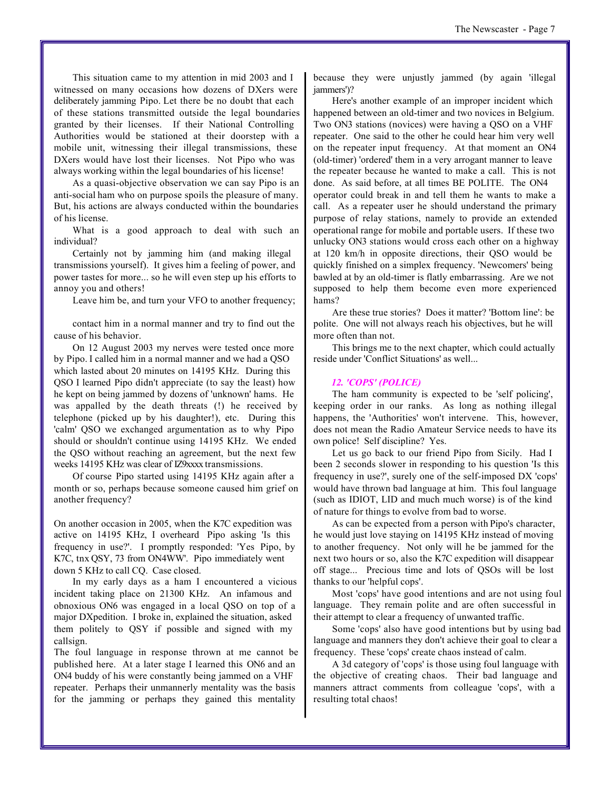This situation came to my attention in mid 2003 and I witnessed on many occasions how dozens of DXers were deliberately jamming Pipo. Let there be no doubt that each of these stations transmitted outside the legal boundaries granted by their licenses. If their National Controlling Authorities would be stationed at their doorstep with a mobile unit, witnessing their illegal transmissions, these DXers would have lost their licenses. Not Pipo who was always working within the legal boundaries of his license!

As a quasi-objective observation we can say Pipo is an anti-social ham who on purpose spoils the pleasure of many. But, his actions are always conducted within the boundaries of his license.

What is a good approach to deal with such an individual?

Certainly not by jamming him (and making illegal transmissions yourself). It gives him a feeling of power, and power tastes for more... so he will even step up his efforts to annoy you and others!

Leave him be, and turn your VFO to another frequency;

contact him in a normal manner and try to find out the cause of his behavior.

On 12 August 2003 my nerves were tested once more by Pipo. I called him in a normal manner and we had a QSO which lasted about 20 minutes on 14195 KHz. During this QSO I learned Pipo didn't appreciate (to say the least) how he kept on being jammed by dozens of 'unknown' hams. He was appalled by the death threats (!) he received by telephone (picked up by his daughter!), etc. During this 'calm' QSO we exchanged argumentation as to why Pipo should or shouldn't continue using 14195 KHz. We ended the QSO without reaching an agreement, but the next few weeks 14195 KHz was clear of IZ9xxxx transmissions.

Of course Pipo started using 14195 KHz again after a month or so, perhaps because someone caused him grief on another frequency?

On another occasion in 2005, when the K7C expedition was active on 14195 KHz, I overheard Pipo asking 'Is this frequency in use?'. I promptly responded: 'Yes Pipo, by K7C, tnx QSY, 73 from ON4WW'. Pipo immediately went down 5 KHz to call CQ. Case closed.

In my early days as a ham I encountered a vicious incident taking place on 21300 KHz. An infamous and obnoxious ON6 was engaged in a local QSO on top of a major DXpedition. I broke in, explained the situation, asked them politely to QSY if possible and signed with my callsign.

The foul language in response thrown at me cannot be published here. At a later stage I learned this ON6 and an ON4 buddy of his were constantly being jammed on a VHF repeater. Perhaps their unmannerly mentality was the basis for the jamming or perhaps they gained this mentality

because they were unjustly jammed (by again 'illegal iammers')?

Here's another example of an improper incident which happened between an old-timer and two novices in Belgium. Two ON3 stations (novices) were having a QSO on a VHF repeater. One said to the other he could hear him very well on the repeater input frequency. At that moment an ON4 (old-timer) 'ordered' them in a very arrogant manner to leave the repeater because he wanted to make a call. This is not done. As said before, at all times BE POLITE. The ON4 operator could break in and tell them he wants to make a call. As a repeater user he should understand the primary purpose of relay stations, namely to provide an extended operational range for mobile and portable users. If these two unlucky ON3 stations would cross each other on a highway at 120 km/h in opposite directions, their QSO would be quickly finished on a simplex frequency. 'Newcomers' being bawled at by an old-timer is flatly embarrassing. Are we not supposed to help them become even more experienced hams?

Are these true stories? Does it matter? 'Bottom line': be polite. One will not always reach his objectives, but he will more often than not.

This brings me to the next chapter, which could actually reside under 'Conflict Situations' as well...

#### *12. 'COPS' (POLICE)*

The ham community is expected to be 'self policing', keeping order in our ranks. As long as nothing illegal happens, the 'Authorities' won't intervene. This, however, does not mean the Radio Amateur Service needs to have its own police! Self discipline? Yes.

Let us go back to our friend Pipo from Sicily. Had I been 2 seconds slower in responding to his question 'Is this frequency in use?', surely one of the self-imposed DX 'cops' would have thrown bad language at him. This foul language (such as IDIOT, LID and much much worse) is of the kind of nature for things to evolve from bad to worse.

As can be expected from a person with Pipo's character, he would just love staying on 14195 KHz instead of moving to another frequency. Not only will he be jammed for the next two hours or so, also the K7C expedition will disappear off stage... Precious time and lots of QSOs will be lost thanks to our 'helpful cops'.

Most 'cops' have good intentions and are not using foul language. They remain polite and are often successful in their attempt to clear a frequency of unwanted traffic.

Some 'cops' also have good intentions but by using bad language and manners they don't achieve their goal to clear a frequency. These 'cops' create chaos instead of calm.

A 3d category of 'cops' is those using foul language with the objective of creating chaos. Their bad language and manners attract comments from colleague 'cops', with a resulting total chaos!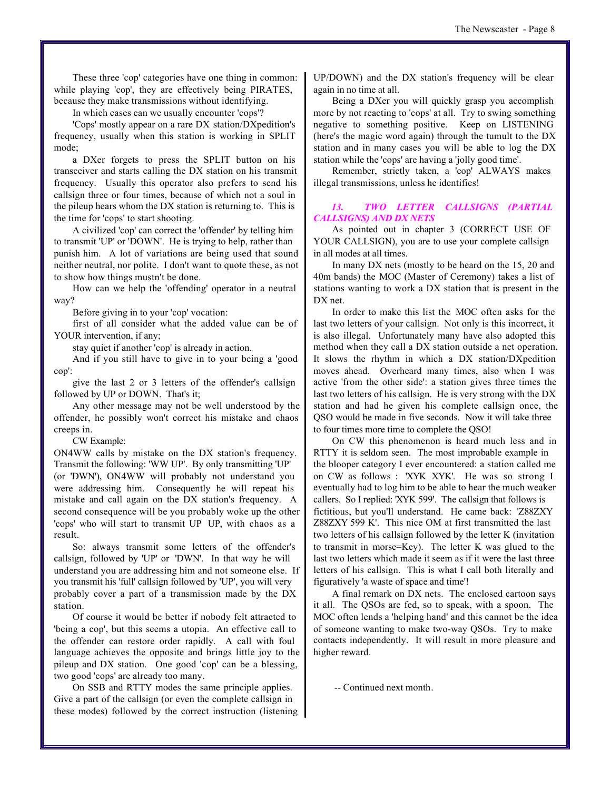These three 'cop' categories have one thing in common: while playing 'cop', they are effectively being PIRATES. because they make transmissions without identifying.

In which cases can we usually encounter 'cops'?

'Cops' mostly appear on a rare DX station/DXpedition's frequency, usually when this station is working in SPLIT mode;

a DXer forgets to press the SPLIT button on his transceiver and starts calling the DX station on his transmit frequency. Usually this operator also prefers to send his callsign three or four times, because of which not a soul in the pileup hears whom the DX station is returning to. This is the time for 'cops' to start shooting.

A civilized 'cop' can correct the 'offender' by telling him to transmit 'UP' or 'DOWN'. He is trying to help, rather than punish him. A lot of variations are being used that sound neither neutral, nor polite. I don't want to quote these, as not to show how things mustn't be done.

How can we help the 'offending' operator in a neutral way?

Before giving in to your 'cop' vocation:

first of all consider what the added value can be of YOUR intervention, if any;

stay quiet if another 'cop' is already in action.

And if you still have to give in to your being a 'good cop':

give the last 2 or 3 letters of the offender's callsign followed by UP or DOWN. That's it;

Any other message may not be well understood by the offender, he possibly won't correct his mistake and chaos creeps in.

CW Example:

ON4WW calls by mistake on the DX station's frequency. Transmit the following: 'WW UP'. By only transmitting 'UP' (or 'DWN'), ON4WW will probably not understand you were addressing him. Consequently he will repeat his mistake and call again on the DX station's frequency. A second consequence will be you probably woke up the other 'cops' who will start to transmit UP UP, with chaos as a result.

So: always transmit some letters of the offender's callsign, followed by 'UP' or 'DWN'. In that way he will understand you are addressing him and not someone else. If you transmit his 'full' callsign followed by 'UP', you will very probably cover a part of a transmission made by the DX station.

Of course it would be better if nobody felt attracted to 'being a cop', but this seems a utopia. An effective call to the offender can restore order rapidly. A call with foul language achieves the opposite and brings little joy to the pileup and DX station. One good 'cop' can be a blessing, two good 'cops' are already too many.

On SSB and RTTY modes the same principle applies. Give a part of the callsign (or even the complete callsign in these modes) followed by the correct instruction (listening UP/DOWN) and the DX station's frequency will be clear again in no time at all.

Being a DXer you will quickly grasp you accomplish more by not reacting to 'cops' at all. Try to swing something negative to something positive. Keep on LISTENING (here's the magic word again) through the tumult to the DX station and in many cases you will be able to log the DX station while the 'cops' are having a 'jolly good time'.

Remember, strictly taken, a 'cop' ALWAYS makes illegal transmissions, unless he identifies!

#### *13. TWO LETTER CALLSIGNS (PARTIAL CALLSIGNS) AND DX NETS*

As pointed out in chapter 3 (CORRECT USE OF YOUR CALLSIGN), you are to use your complete callsign in all modes at all times.

In many DX nets (mostly to be heard on the 15, 20 and 40m bands) the MOC (Master of Ceremony) takes a list of stations wanting to work a DX station that is present in the DX net.

In order to make this list the MOC often asks for the last two letters of your callsign. Not only is this incorrect, it is also illegal. Unfortunately many have also adopted this method when they call a DX station outside a net operation. It slows the rhythm in which a DX station/DXpedition moves ahead. Overheard many times, also when I was active 'from the other side': a station gives three times the last two letters of his callsign. He is very strong with the DX station and had he given his complete callsign once, the QSO would be made in five seconds. Now it will take three to four times more time to complete the QSO!

On CW this phenomenon is heard much less and in RTTY it is seldom seen. The most improbable example in the blooper category I ever encountered: a station called me on CW as follows : 'XYK XYK'. He was so strong I eventually had to log him to be able to hear the much weaker callers. So I replied: 'XYK 599'. The callsign that follows is fictitious, but you'll understand. He came back: 'Z88ZXY Z88ZXY 599 K'. This nice OM at first transmitted the last two letters of his callsign followed by the letter K (invitation to transmit in morse=Key). The letter K was glued to the last two letters which made it seem as if it were the last three letters of his callsign. This is what I call both literally and figuratively 'a waste of space and time'!

A final remark on DX nets. The enclosed cartoon says it all. The QSOs are fed, so to speak, with a spoon. The MOC often lends a 'helping hand' and this cannot be the idea of someone wanting to make two-way QSOs. Try to make contacts independently. It will result in more pleasure and higher reward.

-- Continued next month.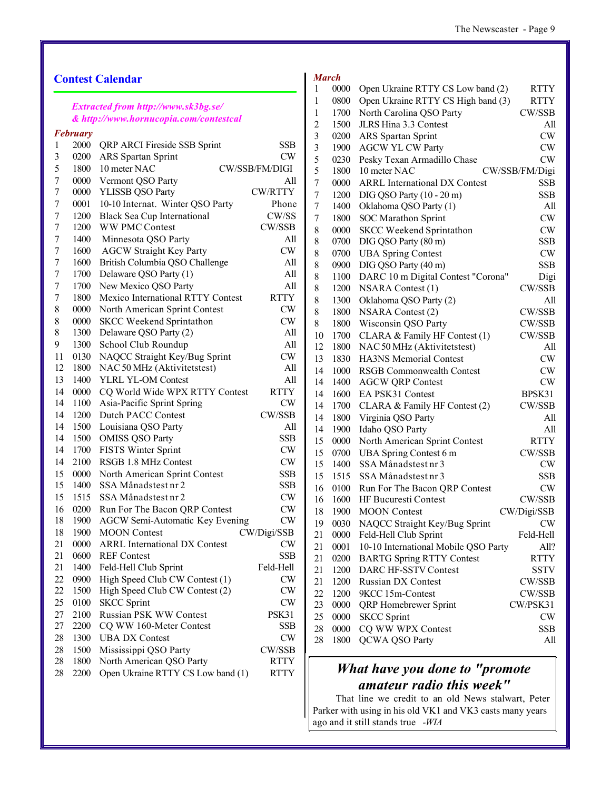### **Contest Calendar**

#### *Extracted from http://www.sk3bg.se/ & http://www.hornucopia.com/contestcal*

|    | <b>February</b> |                                        |                |
|----|-----------------|----------------------------------------|----------------|
| 1  | 2000            | <b>QRP ARCI Fireside SSB Sprint</b>    | SSB            |
| 3  | 0200            | <b>ARS</b> Spartan Sprint              | CW             |
| 5  | 1800            | 10 meter NAC                           | CW/SSB/FM/DIGI |
| 7  | 0000            | Vermont QSO Party                      | All            |
| 7  | 0000            | YLISSB QSO Party                       | CW/RTTY        |
| 7  | 0001            | 10-10 Internat. Winter QSO Party       | Phone          |
| 7  | 1200            | <b>Black Sea Cup International</b>     | CW/SS          |
| 7  | 1200            | <b>WW PMC Contest</b>                  | CW/SSB         |
| 7  | 1400            | Minnesota QSO Party                    | All            |
| 7  | 1600            | <b>AGCW Straight Key Party</b>         | CW             |
| 7  | 1600            | British Columbia QSO Challenge         | All            |
| 7  | 1700            | Delaware QSO Party (1)                 | All            |
| 7  | 1700            | New Mexico QSO Party                   | All            |
| 7  | 1800            | Mexico International RTTY Contest      | <b>RTTY</b>    |
| 8  | 0000            | North American Sprint Contest          | <b>CW</b>      |
| 8  | 0000            | <b>SKCC Weekend Sprintathon</b>        | <b>CW</b>      |
| 8  | 1300            | Delaware QSO Party (2)                 | All            |
| 9  | 1300            | School Club Roundup                    | All            |
| 11 | 0130            | NAQCC Straight Key/Bug Sprint          | <b>CW</b>      |
| 12 | 1800            | NAC 50 MHz (Aktivitetstest)            | All            |
| 13 | 1400            | <b>YLRL YL-OM Contest</b>              | All            |
| 14 | 0000            | CQ World Wide WPX RTTY Contest         | <b>RTTY</b>    |
| 14 | 1100            | Asia-Pacific Sprint Spring             | CW             |
| 14 | 1200            | <b>Dutch PACC Contest</b>              | CW/SSB         |
| 14 | 1500            | Louisiana QSO Party                    | All            |
| 14 | 1500            | <b>OMISS QSO Party</b>                 | <b>SSB</b>     |
| 14 | 1700            | <b>FISTS Winter Sprint</b>             | <b>CW</b>      |
| 14 | 2100            | RSGB 1.8 MHz Contest                   | <b>CW</b>      |
| 15 | 0000            | North American Sprint Contest          | <b>SSB</b>     |
| 15 | 1400            | SSA Månadstest nr 2                    | <b>SSB</b>     |
| 15 | 1515            | SSA Månadstest nr 2                    | <b>CW</b>      |
| 16 | 0200            | Run For The Bacon QRP Contest          | <b>CW</b>      |
| 18 | 1900            | <b>AGCW Semi-Automatic Key Evening</b> | <b>CW</b>      |
| 18 | 1900            | <b>MOON</b> Contest                    | CW/Digi/SSB    |
| 21 | 0000            | <b>ARRL</b> International DX Contest   | <b>CW</b>      |
| 21 | 0600            | <b>REF</b> Contest                     | <b>SSB</b>     |
| 21 | 1400            | Feld-Hell Club Sprint                  | Feld-Hell      |
| 22 | 0900            | High Speed Club CW Contest (1)         | CW             |
| 22 | 1500            | High Speed Club CW Contest (2)         | CW             |
| 25 | 0100            | <b>SKCC Sprint</b>                     | <b>CW</b>      |
| 27 | 2100            | Russian PSK WW Contest                 | PSK31          |
| 27 | 2200            | CQ WW 160-Meter Contest                | <b>SSB</b>     |
| 28 | 1300            | <b>UBA DX Contest</b>                  | <b>CW</b>      |
| 28 | 1500            | Mississippi QSO Party                  | CW/SSB         |
| 28 | 1800            | North American QSO Party               | <b>RTTY</b>    |
| 28 | 2200            | Open Ukraine RTTY CS Low band (1)      | <b>RTTY</b>    |
|    |                 |                                        |                |

#### *March*

| 1              | 0000        | Open Ukraine RTTY CS Low band (2)    | <b>RTTY</b>    |
|----------------|-------------|--------------------------------------|----------------|
| 1              | 0800        | Open Ukraine RTTY CS High band (3)   | <b>RTTY</b>    |
| 1              | 1700        | North Carolina QSO Party             | CW/SSB         |
| $\overline{c}$ | 1500        | JLRS Hina 3.3 Contest                | All            |
| 3              | 0200        | <b>ARS</b> Spartan Sprint            | CW             |
| 3              | 1900        | <b>AGCW YL CW Party</b>              | CW             |
| 5              | 0230        | Pesky Texan Armadillo Chase          | CW             |
| 5              | 1800        | 10 meter NAC                         | CW/SSB/FM/Digi |
| 7              | 0000        | <b>ARRL International DX Contest</b> | SSB            |
| 7              | 1200        | DIG QSO Party (10 - 20 m)            | <b>SSB</b>     |
| 7              | 1400        | Oklahoma QSO Party (1)               | All            |
| 7              | 1800        | <b>SOC</b> Marathon Sprint           | CW             |
| 8              | 0000        | <b>SKCC Weekend Sprintathon</b>      | CW             |
| 8              | 0700        | DIG QSO Party (80 m)                 | SSB            |
| 8              | 0700        | <b>UBA Spring Contest</b>            | CW             |
| 8              | 0900        | DIG QSO Party (40 m)                 | <b>SSB</b>     |
| 8              | 1100        | DARC 10 m Digital Contest "Corona"   | Digi           |
| 8              | 1200        | <b>NSARA Contest (1)</b>             | CW/SSB         |
| 8              | 1300        | Oklahoma QSO Party (2)               | All            |
| 8              | 1800        | <b>NSARA Contest (2)</b>             | CW/SSB         |
| 8              | 1800        | Wisconsin QSO Party                  | CW/SSB         |
| 10             | 1700        | CLARA & Family HF Contest (1)        | CW/SSB         |
| 12             | 1800        | NAC 50 MHz (Aktivitetstest)          | All            |
| 13             | 1830        | <b>HA3NS Memorial Contest</b>        | CW             |
| 14             | 1000        | <b>RSGB Commonwealth Contest</b>     | <b>CW</b>      |
| 14             | 1400        | <b>AGCW QRP Contest</b>              | CW             |
| 14             | 1600        | EA PSK31 Contest                     | BPSK31         |
| 14             | 1700        | CLARA & Family HF Contest (2)        | CW/SSB         |
| 14             | 1800        | Virginia QSO Party                   | All            |
| 14             | 1900        | Idaho QSO Party                      | All            |
| 15             | 0000        | North American Sprint Contest        | <b>RTTY</b>    |
| 15             | 0700        | UBA Spring Contest 6 m               | CW/SSB         |
| 15             | 1400        | SSA Månadstest nr 3                  | <b>CW</b>      |
| 15             | 1515        | SSA Månadstest nr 3                  | SSB            |
| 16             | 0100        | Run For The Bacon QRP Contest        | CW             |
| 16             | 1600        | <b>HF Bucuresti Contest</b>          | CW/SSB         |
| 18             | 1900        | <b>MOON</b> Contest                  | CW/Digi/SSB    |
| 19             | 0030        | NAQCC Straight Key/Bug Sprint        | CW             |
| 21             | <b>0000</b> | Feld-Hell Club Sprint                | Feld-Hell      |
| 21             | 0001        | 10-10 International Mobile QSO Party | All?           |
| 21             | 0200        | <b>BARTG Spring RTTY Contest</b>     | <b>RTTY</b>    |
| 21             | 1200        | DARC HF-SSTV Contest                 | SSTV           |
| 21             | 1200        | <b>Russian DX Contest</b>            | CW/SSB         |
| 22             | 1200        | 9KCC 15m-Contest                     | CW/SSB         |
| 23             | 0000        | QRP Homebrewer Sprint                | CW/PSK31       |
| 25             | 0000        | <b>SKCC</b> Sprint                   | <b>CW</b>      |
| 28             | 0000        | CQ WW WPX Contest                    | ${\rm SSB}$    |
| 28             | 1800        | QCWA QSO Party                       | All            |
|                |             |                                      |                |

## *What have you done to "promote amateur radio this week"*

 That line we credit to an old News stalwart, Peter Parker with using in his old VK1 and VK3 casts many years ago and it still stands true *-WIA*